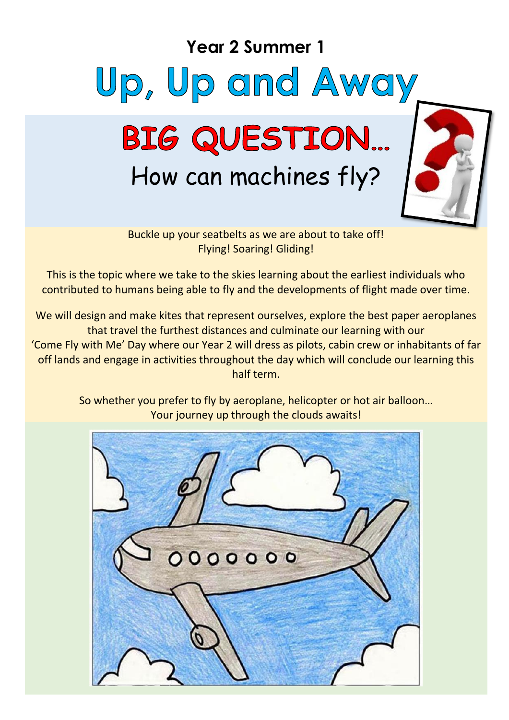### **Year 2 Summer 1**





Buckle up your seatbelts as we are about to take off! Flying! Soaring! Gliding!

This is the topic where we take to the skies learning about the earliest individuals who contributed to humans being able to fly and the developments of flight made over time.

We will design and make kites that represent ourselves, explore the best paper aeroplanes that travel the furthest distances and culminate our learning with our 'Come Fly with Me' Day where our Year 2 will dress as pilots, cabin crew or inhabitants of far off lands and engage in activities throughout the day which will conclude our learning this half term.

> So whether you prefer to fly by aeroplane, helicopter or hot air balloon… Your journey up through the clouds awaits!

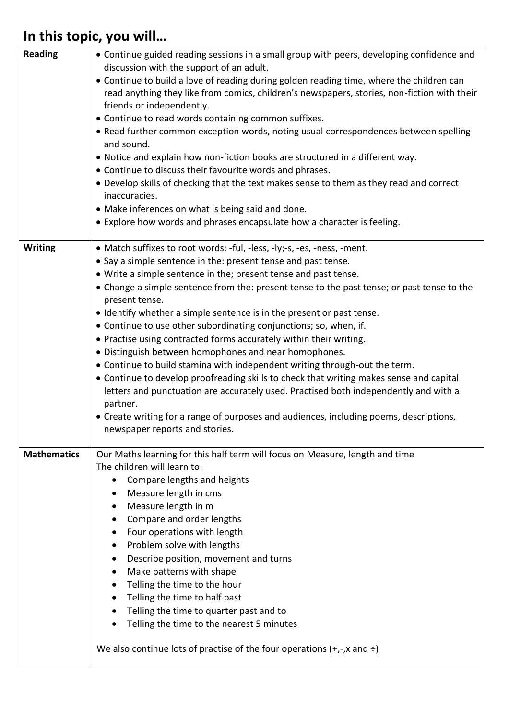## **In this topic, you will…**

| <b>Reading</b>     | • Continue guided reading sessions in a small group with peers, developing confidence and<br>discussion with the support of an adult.<br>• Continue to build a love of reading during golden reading time, where the children can<br>read anything they like from comics, children's newspapers, stories, non-fiction with their<br>friends or independently.<br>• Continue to read words containing common suffixes.<br>• Read further common exception words, noting usual correspondences between spelling<br>and sound.<br>• Notice and explain how non-fiction books are structured in a different way.<br>• Continue to discuss their favourite words and phrases.<br>• Develop skills of checking that the text makes sense to them as they read and correct<br>inaccuracies.<br>• Make inferences on what is being said and done.<br>• Explore how words and phrases encapsulate how a character is feeling.                                                                                              |
|--------------------|-------------------------------------------------------------------------------------------------------------------------------------------------------------------------------------------------------------------------------------------------------------------------------------------------------------------------------------------------------------------------------------------------------------------------------------------------------------------------------------------------------------------------------------------------------------------------------------------------------------------------------------------------------------------------------------------------------------------------------------------------------------------------------------------------------------------------------------------------------------------------------------------------------------------------------------------------------------------------------------------------------------------|
| <b>Writing</b>     | • Match suffixes to root words: -ful, -less, -ly;-s, -es, -ness, -ment.<br>• Say a simple sentence in the: present tense and past tense.<br>• Write a simple sentence in the; present tense and past tense.<br>• Change a simple sentence from the: present tense to the past tense; or past tense to the<br>present tense.<br>• Identify whether a simple sentence is in the present or past tense.<br>• Continue to use other subordinating conjunctions; so, when, if.<br>• Practise using contracted forms accurately within their writing.<br>· Distinguish between homophones and near homophones.<br>• Continue to build stamina with independent writing through-out the term.<br>• Continue to develop proofreading skills to check that writing makes sense and capital<br>letters and punctuation are accurately used. Practised both independently and with a<br>partner.<br>• Create writing for a range of purposes and audiences, including poems, descriptions,<br>newspaper reports and stories. |
| <b>Mathematics</b> | Our Maths learning for this half term will focus on Measure, length and time<br>The children will learn to:<br>Compare lengths and heights<br>Measure length in cms<br>Measure length in m<br>Compare and order lengths<br>Four operations with length<br>Problem solve with lengths<br>Describe position, movement and turns<br>Make patterns with shape<br>٠<br>Telling the time to the hour<br>Telling the time to half past<br>Telling the time to quarter past and to<br>Telling the time to the nearest 5 minutes<br>We also continue lots of practise of the four operations $(+,-,x)$ and $\div$ )                                                                                                                                                                                                                                                                                                                                                                                                        |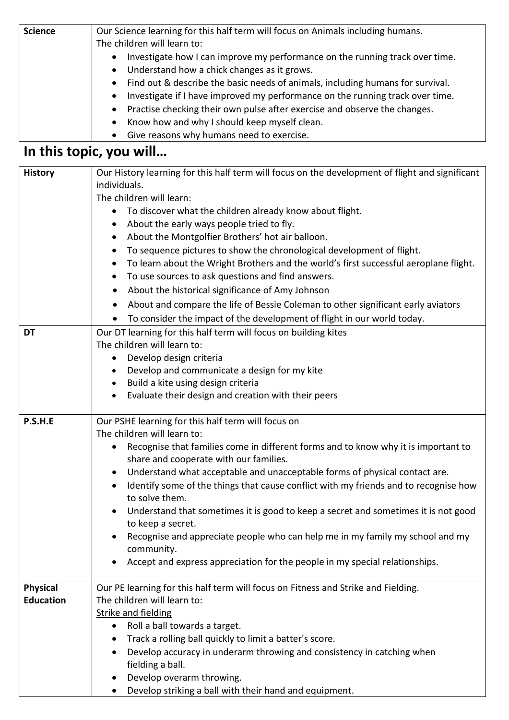| <b>Science</b> | Our Science learning for this half term will focus on Animals including humans.           |
|----------------|-------------------------------------------------------------------------------------------|
|                | The children will learn to:                                                               |
|                | Investigate how I can improve my performance on the running track over time.<br>$\bullet$ |
|                | • Understand how a chick changes as it grows.                                             |
|                | • Find out & describe the basic needs of animals, including humans for survival.          |
|                | • Investigate if I have improved my performance on the running track over time.           |
|                | • Practise checking their own pulse after exercise and observe the changes.               |
|                | • Know how and why I should keep myself clean.                                            |
|                | • Give reasons why humans need to exercise.                                               |

# **In this topic, you will…**

| <b>History</b>   | Our History learning for this half term will focus on the development of flight and significant                      |
|------------------|----------------------------------------------------------------------------------------------------------------------|
|                  | individuals.                                                                                                         |
|                  | The children will learn:                                                                                             |
|                  | To discover what the children already know about flight.                                                             |
|                  | About the early ways people tried to fly.                                                                            |
|                  | About the Montgolfier Brothers' hot air balloon.                                                                     |
|                  | To sequence pictures to show the chronological development of flight.<br>$\bullet$                                   |
|                  | To learn about the Wright Brothers and the world's first successful aeroplane flight.                                |
|                  | To use sources to ask questions and find answers.<br>$\bullet$                                                       |
|                  | About the historical significance of Amy Johnson<br>$\bullet$                                                        |
|                  | About and compare the life of Bessie Coleman to other significant early aviators<br>$\bullet$                        |
|                  | To consider the impact of the development of flight in our world today.                                              |
| <b>DT</b>        | Our DT learning for this half term will focus on building kites                                                      |
|                  | The children will learn to:                                                                                          |
|                  | Develop design criteria<br>$\bullet$                                                                                 |
|                  | Develop and communicate a design for my kite                                                                         |
|                  | Build a kite using design criteria<br>٠                                                                              |
|                  | Evaluate their design and creation with their peers<br>$\bullet$                                                     |
| P.S.H.E          | Our PSHE learning for this half term will focus on<br>The children will learn to:                                    |
|                  | Recognise that families come in different forms and to know why it is important to                                   |
|                  | share and cooperate with our families.                                                                               |
|                  | Understand what acceptable and unacceptable forms of physical contact are.<br>$\bullet$                              |
|                  | Identify some of the things that cause conflict with my friends and to recognise how                                 |
|                  | to solve them.                                                                                                       |
|                  | Understand that sometimes it is good to keep a secret and sometimes it is not good<br>$\bullet$<br>to keep a secret. |
|                  | Recognise and appreciate people who can help me in my family my school and my                                        |
|                  | community.                                                                                                           |
|                  | Accept and express appreciation for the people in my special relationships.                                          |
| <b>Physical</b>  | Our PE learning for this half term will focus on Fitness and Strike and Fielding.                                    |
| <b>Education</b> | The children will learn to:                                                                                          |
|                  | <b>Strike and fielding</b>                                                                                           |
|                  | Roll a ball towards a target.<br>$\bullet$                                                                           |
|                  | Track a rolling ball quickly to limit a batter's score.                                                              |
|                  | Develop accuracy in underarm throwing and consistency in catching when                                               |
|                  | fielding a ball.                                                                                                     |
|                  | Develop overarm throwing.                                                                                            |
|                  | Develop striking a ball with their hand and equipment.                                                               |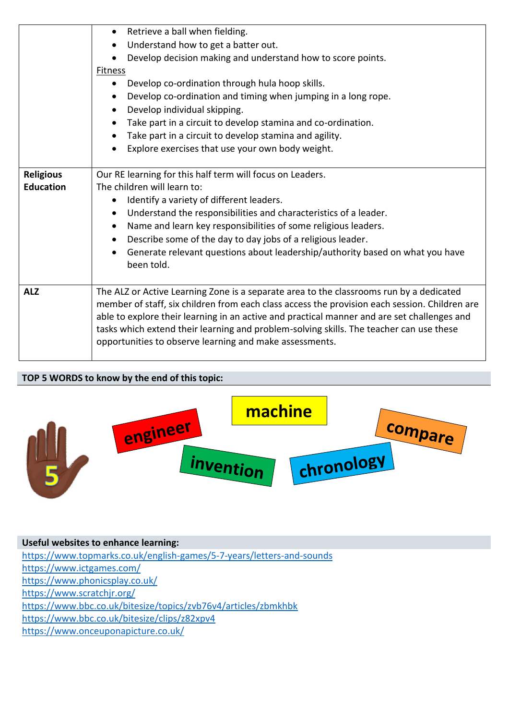|                                      | Retrieve a ball when fielding.<br>$\bullet$<br>Understand how to get a batter out.<br>Develop decision making and understand how to score points.<br>Fitness<br>Develop co-ordination through hula hoop skills.<br>$\bullet$<br>Develop co-ordination and timing when jumping in a long rope.<br>$\bullet$<br>Develop individual skipping.<br>Take part in a circuit to develop stamina and co-ordination.<br>Take part in a circuit to develop stamina and agility.<br>Explore exercises that use your own body weight. |
|--------------------------------------|--------------------------------------------------------------------------------------------------------------------------------------------------------------------------------------------------------------------------------------------------------------------------------------------------------------------------------------------------------------------------------------------------------------------------------------------------------------------------------------------------------------------------|
| <b>Religious</b><br><b>Education</b> | Our RE learning for this half term will focus on Leaders.<br>The children will learn to:<br>Identify a variety of different leaders.<br>Understand the responsibilities and characteristics of a leader.<br>Name and learn key responsibilities of some religious leaders.<br>Describe some of the day to day jobs of a religious leader.<br>Generate relevant questions about leadership/authority based on what you have<br>been told.                                                                                 |
| <b>ALZ</b>                           | The ALZ or Active Learning Zone is a separate area to the classrooms run by a dedicated<br>member of staff, six children from each class access the provision each session. Children are<br>able to explore their learning in an active and practical manner and are set challenges and<br>tasks which extend their learning and problem-solving skills. The teacher can use these<br>opportunities to observe learning and make assessments.                                                                            |

### **TOP 5 WORDS to know by the end of this topic:**



**Useful websites to enhance learning:** <https://www.topmarks.co.uk/english-games/5-7-years/letters-and-sounds> <https://www.ictgames.com/> <https://www.phonicsplay.co.uk/> <https://www.scratchjr.org/> <https://www.bbc.co.uk/bitesize/topics/zvb76v4/articles/zbmkhbk> <https://www.bbc.co.uk/bitesize/clips/z82xpv4> https://www.onceuponapicture.co.uk/